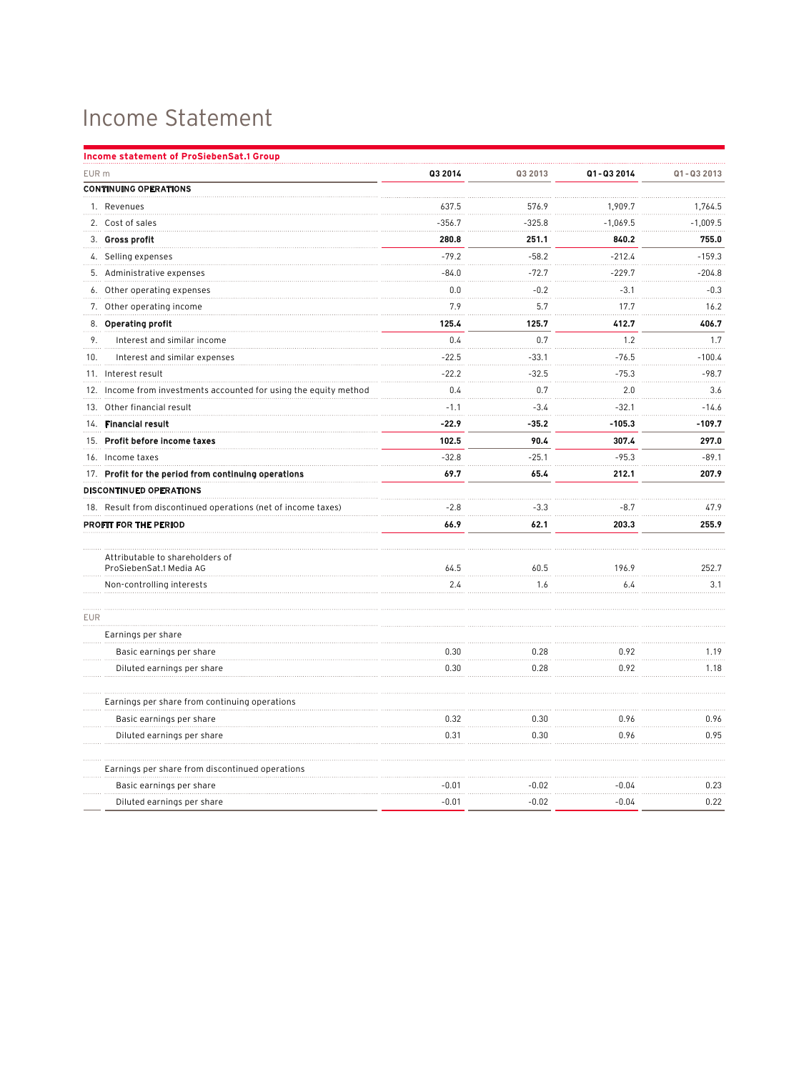## Income Statement

| <b>Income statement of ProSiebenSat.1 Group</b>                   |          |          |            |            |
|-------------------------------------------------------------------|----------|----------|------------|------------|
| EUR m                                                             | Q3 2014  | Q3 2013  | Q1-Q3 2014 | Q1-Q3 2013 |
| <b>CONTINUING OPERATIONS</b>                                      |          |          |            |            |
| 1. Revenues                                                       | 637.5    | 576.9    | 1,909.7    | 1,764.5    |
| 2. Cost of sales                                                  | $-356.7$ | $-325.8$ | $-1,069.5$ | $-1,009.5$ |
| 3. Gross profit                                                   | 280.8    | 251.1    | 840.2      | 755.0      |
| 4. Selling expenses                                               | $-79.2$  | $-58.2$  | $-212.4$   | $-159.3$   |
| 5. Administrative expenses                                        | $-84.0$  | $-72.7$  | $-229.7$   | $-204.8$   |
| Other operating expenses<br>6.                                    | 0.0      | $-0.2$   | $-3.1$     | $-0.3$     |
| 7. Other operating income                                         | 7.9      | 5.7      | 17.7       | 16.2       |
| 8. Operating profit                                               | 125.4    | 125.7    | 412.7      | 406.7      |
| 9.<br>Interest and similar income                                 | 0.4      | 0.7      | 1.2        | 1.7        |
| Interest and similar expenses<br>10.                              | $-22.5$  | $-33.1$  | $-76.5$    | $-100.4$   |
| 11. Interest result                                               | $-22.2$  | $-32.5$  | $-75.3$    | $-98.7$    |
| 12. Income from investments accounted for using the equity method | 0.4      | 0.7      | 2.0        | 3.6        |
| 13. Other financial result                                        | $-1.1$   | $-3.4$   | $-32.1$    | $-14.6$    |
| 14. Financial result                                              | $-22.9$  | $-35.2$  | $-105.3$   | $-109.7$   |
| 15. Profit before income taxes                                    | 102.5    | 90.4     | 307.4      | 297.0      |
| 16. Income taxes                                                  | $-32.8$  | $-25.1$  | $-95.3$    | $-89.1$    |
| 17. Profit for the period from continuing operations              | 69.7     | 65.4     | 212.1      | 207.9      |
| DISCONTINUED OPERATIONS                                           |          |          |            |            |
| 18. Result from discontinued operations (net of income taxes)     | $-2.8$   | $-3.3$   | $-8.7$     | 47.9       |
| PROFIT FOR THE PERIOD                                             | 66.9     | 62.1     | 203.3      | 255.9      |
|                                                                   |          |          |            |            |
| Attributable to shareholders of<br>ProSiebenSat.1 Media AG        | 64.5     | 60.5     | 196.9      | 252.7      |
| Non-controlling interests                                         | 2.4      | 1.6      | 6.4        | 3.1        |
| <b>EUR</b>                                                        |          |          |            |            |
| Earnings per share                                                |          |          |            |            |
| Basic earnings per share                                          | 0.30     | 0.28     | 0.92       | 1.19       |
| Diluted earnings per share                                        | 0.30     | 0.28     | 0.92       | 1.18       |
| Earnings per share from continuing operations                     |          |          |            |            |
| Basic earnings per share                                          | 0.32     | 0.30     | 0.96       | 0.96       |
| Diluted earnings per share                                        | 0.31     | 0.30     | 0.96       | 0.95       |
| Earnings per share from discontinued operations                   |          |          |            |            |
| Basic earnings per share                                          | $-0.01$  | $-0.02$  | $-0.04$    | 0.23       |
| Diluted earnings per share                                        | $-0.01$  | $-0.02$  | $-0.04$    | 0.22       |